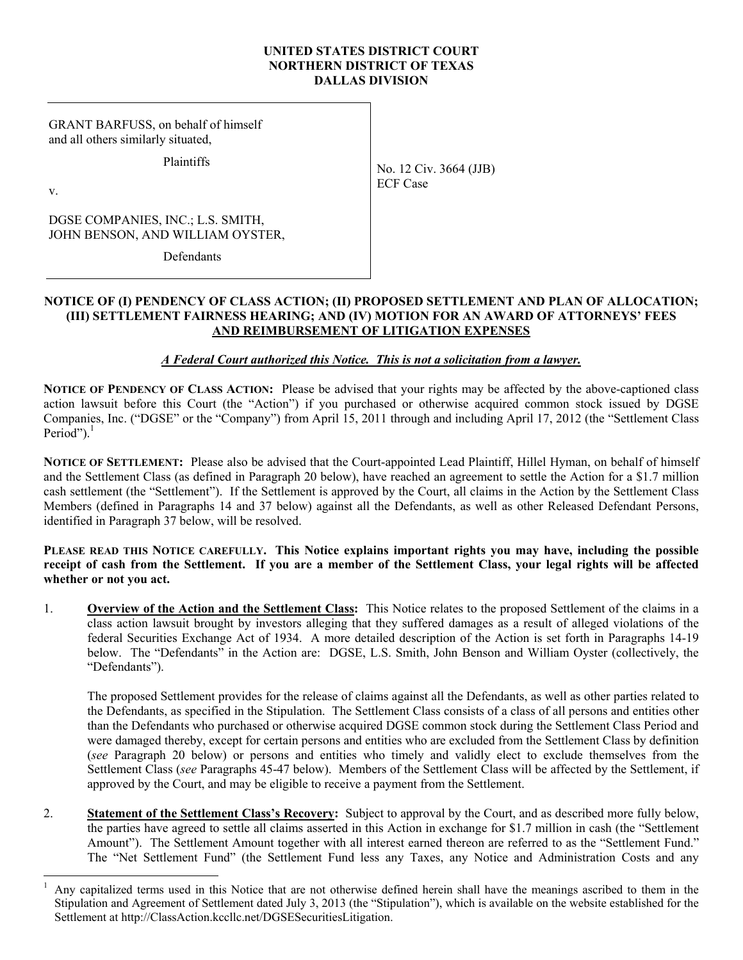### **UNITED STATES DISTRICT COURT NORTHERN DISTRICT OF TEXAS DALLAS DIVISION**

GRANT BARFUSS, on behalf of himself and all others similarly situated,

**Plaintiffs** 

v.

DGSE COMPANIES, INC.; L.S. SMITH, JOHN BENSON, AND WILLIAM OYSTER,

**Defendants** 

## **NOTICE OF (I) PENDENCY OF CLASS ACTION; (II) PROPOSED SETTLEMENT AND PLAN OF ALLOCATION; (III) SETTLEMENT FAIRNESS HEARING; AND (IV) MOTION FOR AN AWARD OF ATTORNEYS' FEES AND REIMBURSEMENT OF LITIGATION EXPENSES**

# *A Federal Court authorized this Notice. This is not a solicitation from a lawyer.*

**NOTICE OF PENDENCY OF CLASS ACTION:** Please be advised that your rights may be affected by the above-captioned class action lawsuit before this Court (the "Action") if you purchased or otherwise acquired common stock issued by DGSE Companies, Inc. ("DGSE" or the "Company") from April 15, 2011 through and including April 17, 2012 (the "Settlement Class Period"). $<sup>1</sup>$ </sup>

**NOTICE OF SETTLEMENT:** Please also be advised that the Court-appointed Lead Plaintiff, Hillel Hyman, on behalf of himself and the Settlement Class (as defined in Paragraph 20 below), have reached an agreement to settle the Action for a \$1.7 million cash settlement (the "Settlement"). If the Settlement is approved by the Court, all claims in the Action by the Settlement Class Members (defined in Paragraphs 14 and 37 below) against all the Defendants, as well as other Released Defendant Persons, identified in Paragraph 37 below, will be resolved.

## **PLEASE READ THIS NOTICE CAREFULLY. This Notice explains important rights you may have, including the possible receipt of cash from the Settlement. If you are a member of the Settlement Class, your legal rights will be affected whether or not you act.**

1. **Overview of the Action and the Settlement Class:** This Notice relates to the proposed Settlement of the claims in a class action lawsuit brought by investors alleging that they suffered damages as a result of alleged violations of the federal Securities Exchange Act of 1934. A more detailed description of the Action is set forth in Paragraphs 14-19 below. The "Defendants" in the Action are: DGSE, L.S. Smith, John Benson and William Oyster (collectively, the "Defendants").

The proposed Settlement provides for the release of claims against all the Defendants, as well as other parties related to the Defendants, as specified in the Stipulation. The Settlement Class consists of a class of all persons and entities other than the Defendants who purchased or otherwise acquired DGSE common stock during the Settlement Class Period and were damaged thereby, except for certain persons and entities who are excluded from the Settlement Class by definition (*see* Paragraph 20 below) or persons and entities who timely and validly elect to exclude themselves from the Settlement Class (*see* Paragraphs 45-47 below). Members of the Settlement Class will be affected by the Settlement, if approved by the Court, and may be eligible to receive a payment from the Settlement.

2. **Statement of the Settlement Class's Recovery:** Subject to approval by the Court, and as described more fully below, the parties have agreed to settle all claims asserted in this Action in exchange for \$1.7 million in cash (the "Settlement Amount"). The Settlement Amount together with all interest earned thereon are referred to as the "Settlement Fund." The "Net Settlement Fund" (the Settlement Fund less any Taxes, any Notice and Administration Costs and any

No. 12 Civ. 3664 (JJB) ECF Case

 $\overline{a}$ 1 Any capitalized terms used in this Notice that are not otherwise defined herein shall have the meanings ascribed to them in the Stipulation and Agreement of Settlement dated July 3, 2013 (the "Stipulation"), which is available on the website established for the Settlement at http://ClassAction.kccllc.net/DGSESecuritiesLitigation.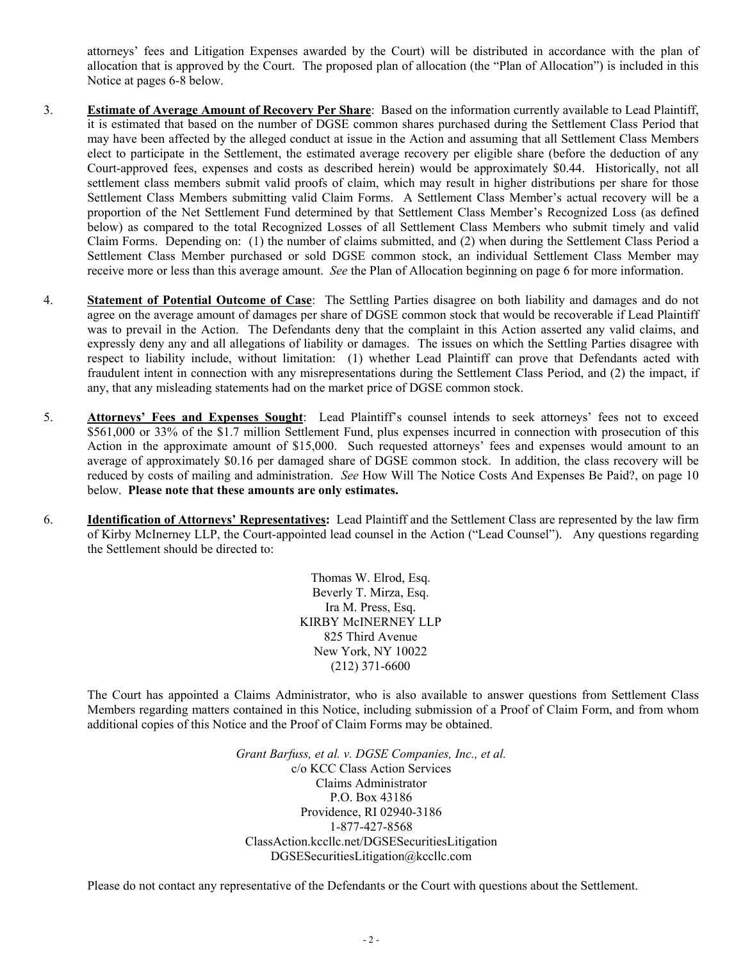attorneys' fees and Litigation Expenses awarded by the Court) will be distributed in accordance with the plan of allocation that is approved by the Court. The proposed plan of allocation (the "Plan of Allocation") is included in this Notice at pages 6-8 below.

- 3. **Estimate of Average Amount of Recovery Per Share**: Based on the information currently available to Lead Plaintiff, it is estimated that based on the number of DGSE common shares purchased during the Settlement Class Period that may have been affected by the alleged conduct at issue in the Action and assuming that all Settlement Class Members elect to participate in the Settlement, the estimated average recovery per eligible share (before the deduction of any Court-approved fees, expenses and costs as described herein) would be approximately \$0.44. Historically, not all settlement class members submit valid proofs of claim, which may result in higher distributions per share for those Settlement Class Members submitting valid Claim Forms. A Settlement Class Member's actual recovery will be a proportion of the Net Settlement Fund determined by that Settlement Class Member's Recognized Loss (as defined below) as compared to the total Recognized Losses of all Settlement Class Members who submit timely and valid Claim Forms. Depending on: (1) the number of claims submitted, and (2) when during the Settlement Class Period a Settlement Class Member purchased or sold DGSE common stock, an individual Settlement Class Member may receive more or less than this average amount. *See* the Plan of Allocation beginning on page 6 for more information.
- 4. **Statement of Potential Outcome of Case**: The Settling Parties disagree on both liability and damages and do not agree on the average amount of damages per share of DGSE common stock that would be recoverable if Lead Plaintiff was to prevail in the Action. The Defendants deny that the complaint in this Action asserted any valid claims, and expressly deny any and all allegations of liability or damages. The issues on which the Settling Parties disagree with respect to liability include, without limitation: (1) whether Lead Plaintiff can prove that Defendants acted with fraudulent intent in connection with any misrepresentations during the Settlement Class Period, and (2) the impact, if any, that any misleading statements had on the market price of DGSE common stock.
- 5. **Attorneys' Fees and Expenses Sought**: Lead Plaintiff's counsel intends to seek attorneys' fees not to exceed \$561,000 or 33% of the \$1.7 million Settlement Fund, plus expenses incurred in connection with prosecution of this Action in the approximate amount of \$15,000. Such requested attorneys' fees and expenses would amount to an average of approximately \$0.16 per damaged share of DGSE common stock. In addition, the class recovery will be reduced by costs of mailing and administration. *See* How Will The Notice Costs And Expenses Be Paid?, on page 10 below. **Please note that these amounts are only estimates.**
- 6. **Identification of Attorneys' Representatives:** Lead Plaintiff and the Settlement Class are represented by the law firm of Kirby McInerney LLP, the Court-appointed lead counsel in the Action ("Lead Counsel"). Any questions regarding the Settlement should be directed to:

Thomas W. Elrod, Esq. Beverly T. Mirza, Esq. Ira M. Press, Esq. KIRBY McINERNEY LLP 825 Third Avenue New York, NY 10022 (212) 371-6600

The Court has appointed a Claims Administrator, who is also available to answer questions from Settlement Class Members regarding matters contained in this Notice, including submission of a Proof of Claim Form, and from whom additional copies of this Notice and the Proof of Claim Forms may be obtained.

> *Grant Barfuss, et al. v. DGSE Companies, Inc., et al.* c/o KCC Class Action Services Claims Administrator P.O. Box 43186 Providence, RI 02940-3186 1-877-427-8568 ClassAction.kccllc.net/DGSESecuritiesLitigation DGSESecuritiesLitigation@kccllc.com

Please do not contact any representative of the Defendants or the Court with questions about the Settlement.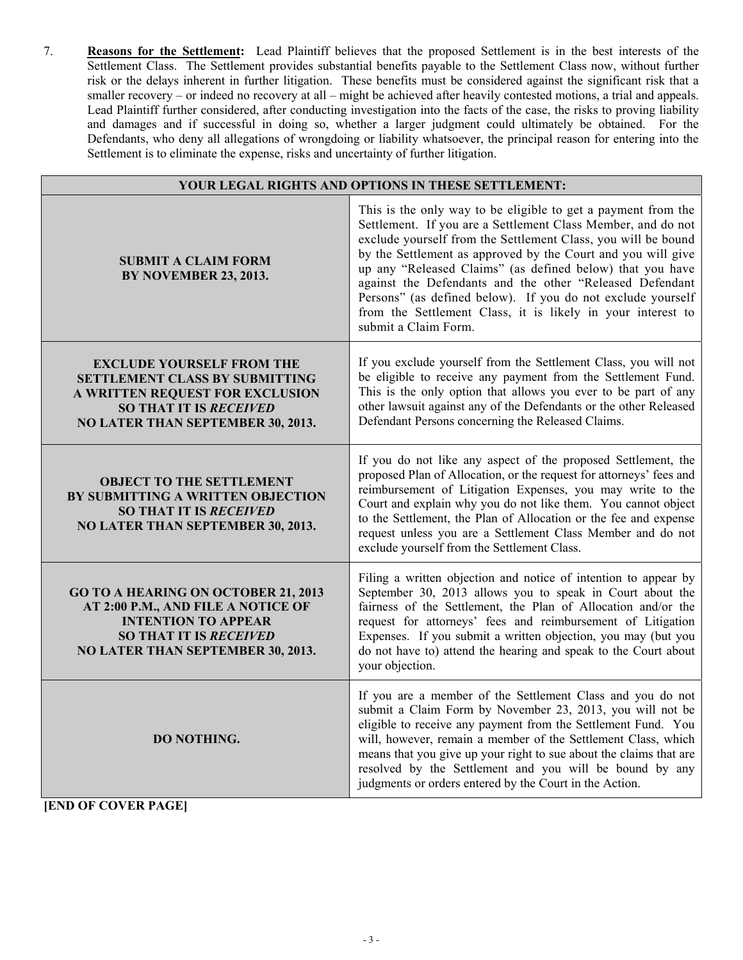7. **Reasons for the Settlement:** Lead Plaintiff believes that the proposed Settlement is in the best interests of the Settlement Class. The Settlement provides substantial benefits payable to the Settlement Class now, without further risk or the delays inherent in further litigation. These benefits must be considered against the significant risk that a smaller recovery – or indeed no recovery at all – might be achieved after heavily contested motions, a trial and appeals. Lead Plaintiff further considered, after conducting investigation into the facts of the case, the risks to proving liability and damages and if successful in doing so, whether a larger judgment could ultimately be obtained. For the Defendants, who deny all allegations of wrongdoing or liability whatsoever, the principal reason for entering into the Settlement is to eliminate the expense, risks and uncertainty of further litigation.

| YOUR LEGAL RIGHTS AND OPTIONS IN THESE SETTLEMENT:                                                                                                                                   |                                                                                                                                                                                                                                                                                                                                                                                                                                                                                                                                               |  |
|--------------------------------------------------------------------------------------------------------------------------------------------------------------------------------------|-----------------------------------------------------------------------------------------------------------------------------------------------------------------------------------------------------------------------------------------------------------------------------------------------------------------------------------------------------------------------------------------------------------------------------------------------------------------------------------------------------------------------------------------------|--|
| <b>SUBMIT A CLAIM FORM</b><br><b>BY NOVEMBER 23, 2013.</b>                                                                                                                           | This is the only way to be eligible to get a payment from the<br>Settlement. If you are a Settlement Class Member, and do not<br>exclude yourself from the Settlement Class, you will be bound<br>by the Settlement as approved by the Court and you will give<br>up any "Released Claims" (as defined below) that you have<br>against the Defendants and the other "Released Defendant<br>Persons" (as defined below). If you do not exclude yourself<br>from the Settlement Class, it is likely in your interest to<br>submit a Claim Form. |  |
| <b>EXCLUDE YOURSELF FROM THE</b><br>SETTLEMENT CLASS BY SUBMITTING<br>A WRITTEN REQUEST FOR EXCLUSION<br><b>SO THAT IT IS RECEIVED</b><br>NO LATER THAN SEPTEMBER 30, 2013.          | If you exclude yourself from the Settlement Class, you will not<br>be eligible to receive any payment from the Settlement Fund.<br>This is the only option that allows you ever to be part of any<br>other lawsuit against any of the Defendants or the other Released<br>Defendant Persons concerning the Released Claims.                                                                                                                                                                                                                   |  |
| <b>OBJECT TO THE SETTLEMENT</b><br>BY SUBMITTING A WRITTEN OBJECTION<br><b>SO THAT IT IS RECEIVED</b><br>NO LATER THAN SEPTEMBER 30, 2013.                                           | If you do not like any aspect of the proposed Settlement, the<br>proposed Plan of Allocation, or the request for attorneys' fees and<br>reimbursement of Litigation Expenses, you may write to the<br>Court and explain why you do not like them. You cannot object<br>to the Settlement, the Plan of Allocation or the fee and expense<br>request unless you are a Settlement Class Member and do not<br>exclude yourself from the Settlement Class.                                                                                         |  |
| <b>GO TO A HEARING ON OCTOBER 21, 2013</b><br>AT 2:00 P.M., AND FILE A NOTICE OF<br><b>INTENTION TO APPEAR</b><br><b>SO THAT IT IS RECEIVED</b><br>NO LATER THAN SEPTEMBER 30, 2013. | Filing a written objection and notice of intention to appear by<br>September 30, 2013 allows you to speak in Court about the<br>fairness of the Settlement, the Plan of Allocation and/or the<br>request for attorneys' fees and reimbursement of Litigation<br>Expenses. If you submit a written objection, you may (but you<br>do not have to) attend the hearing and speak to the Court about<br>your objection.                                                                                                                           |  |
| DO NOTHING.                                                                                                                                                                          | If you are a member of the Settlement Class and you do not<br>submit a Claim Form by November 23, 2013, you will not be<br>eligible to receive any payment from the Settlement Fund. You<br>will, however, remain a member of the Settlement Class, which<br>means that you give up your right to sue about the claims that are<br>resolved by the Settlement and you will be bound by any<br>judgments or orders entered by the Court in the Action.                                                                                         |  |

**[END OF COVER PAGE]**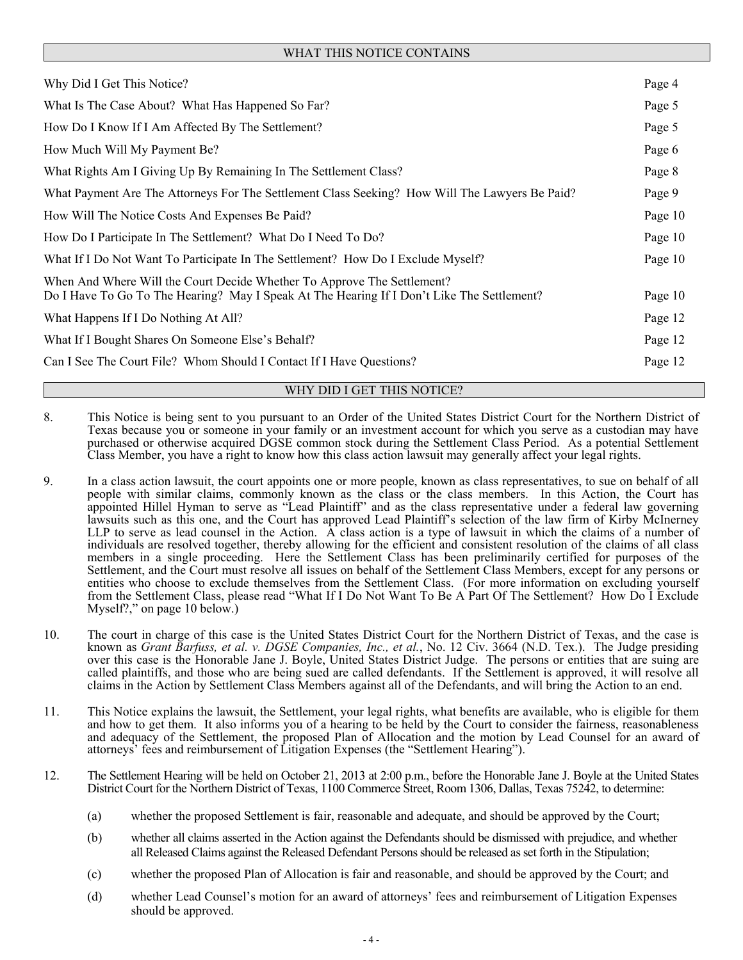# WHAT THIS NOTICE CONTAINS

| Why Did I Get This Notice?                                                                                                                                            | Page 4  |
|-----------------------------------------------------------------------------------------------------------------------------------------------------------------------|---------|
| What Is The Case About? What Has Happened So Far?                                                                                                                     | Page 5  |
| How Do I Know If I Am Affected By The Settlement?                                                                                                                     | Page 5  |
| How Much Will My Payment Be?                                                                                                                                          | Page 6  |
| What Rights Am I Giving Up By Remaining In The Settlement Class?                                                                                                      | Page 8  |
| What Payment Are The Attorneys For The Settlement Class Seeking? How Will The Lawyers Be Paid?                                                                        | Page 9  |
| How Will The Notice Costs And Expenses Be Paid?                                                                                                                       | Page 10 |
| How Do I Participate In The Settlement? What Do I Need To Do?                                                                                                         | Page 10 |
| What If I Do Not Want To Participate In The Settlement? How Do I Exclude Myself?                                                                                      | Page 10 |
| When And Where Will the Court Decide Whether To Approve The Settlement?<br>Do I Have To Go To The Hearing? May I Speak At The Hearing If I Don't Like The Settlement? | Page 10 |
| What Happens If I Do Nothing At All?                                                                                                                                  | Page 12 |
| What If I Bought Shares On Someone Else's Behalf?                                                                                                                     | Page 12 |
| Can I See The Court File? Whom Should I Contact If I Have Questions?                                                                                                  | Page 12 |
|                                                                                                                                                                       |         |

#### WHY DID I GET THIS NOTICE?

- 8. This Notice is being sent to you pursuant to an Order of the United States District Court for the Northern District of Texas because you or someone in your family or an investment account for which you serve as a custodian may have purchased or otherwise acquired DGSE common stock during the Settlement Class Period. As a potential Settlement Class Member, you have a right to know how this class action lawsuit may generally affect your legal rights.
- 9. In a class action lawsuit, the court appoints one or more people, known as class representatives, to sue on behalf of all people with similar claims, commonly known as the class or the class members. In this Action, the Court has appointed Hillel Hyman to serve as "Lead Plaintiff" and as the class representative under a federal law governing lawsuits such as this one, and the Court has approved Lead Plaintiff's selection of the law firm of Kirby McInerney LLP to serve as lead counsel in the Action. A class action is a type of lawsuit in which the claims of a number of individuals are resolved together, thereby allowing for the efficient and consistent resolution of the claims of all class members in a single proceeding. Here the Settlement Class has been preliminarily certified for purposes of the Settlement, and the Court must resolve all issues on behalf of the Settlement Class Members, except for any persons or entities who choose to exclude themselves from the Settlement Class. (For more information on excluding yourself from the Settlement Class, please read "What If I Do Not Want To Be A Part Of The Settlement? How Do I Exclude Myself?," on page 10 below.)
- 10. The court in charge of this case is the United States District Court for the Northern District of Texas, and the case is known as *Grant Barfuss, et al. v. DGSE Companies, Inc., et al.*, No. 12 Civ. 3664 (N.D. Tex.). The Judge presiding over this case is the Honorable Jane J. Boyle, United States District Judge. The persons or entities that are suing are called plaintiffs, and those who are being sued are called defendants. If the Settlement is approved, it will resolve all claims in the Action by Settlement Class Members against all of the Defendants, and will bring the Action to an end.
- 11. This Notice explains the lawsuit, the Settlement, your legal rights, what benefits are available, who is eligible for them and how to get them. It also informs you of a hearing to be held by the Court to consider the fairness, reasonableness and adequacy of the Settlement, the proposed Plan of Allocation and the motion by Lead Counsel for an award of attorneys' fees and reimbursement of Litigation Expenses (the "Settlement Hearing").
- 12. The Settlement Hearing will be held on October 21, 2013 at 2:00 p.m., before the Honorable Jane J. Boyle at the United States District Court for the Northern District of Texas, 1100 Commerce Street, Room 1306, Dallas, Texas 75242, to determine:
	- (a) whether the proposed Settlement is fair, reasonable and adequate, and should be approved by the Court;
	- (b) whether all claims asserted in the Action against the Defendants should be dismissed with prejudice, and whether all Released Claims against the Released Defendant Persons should be released as set forth in the Stipulation;
	- (c) whether the proposed Plan of Allocation is fair and reasonable, and should be approved by the Court; and
	- (d) whether Lead Counsel's motion for an award of attorneys' fees and reimbursement of Litigation Expenses should be approved.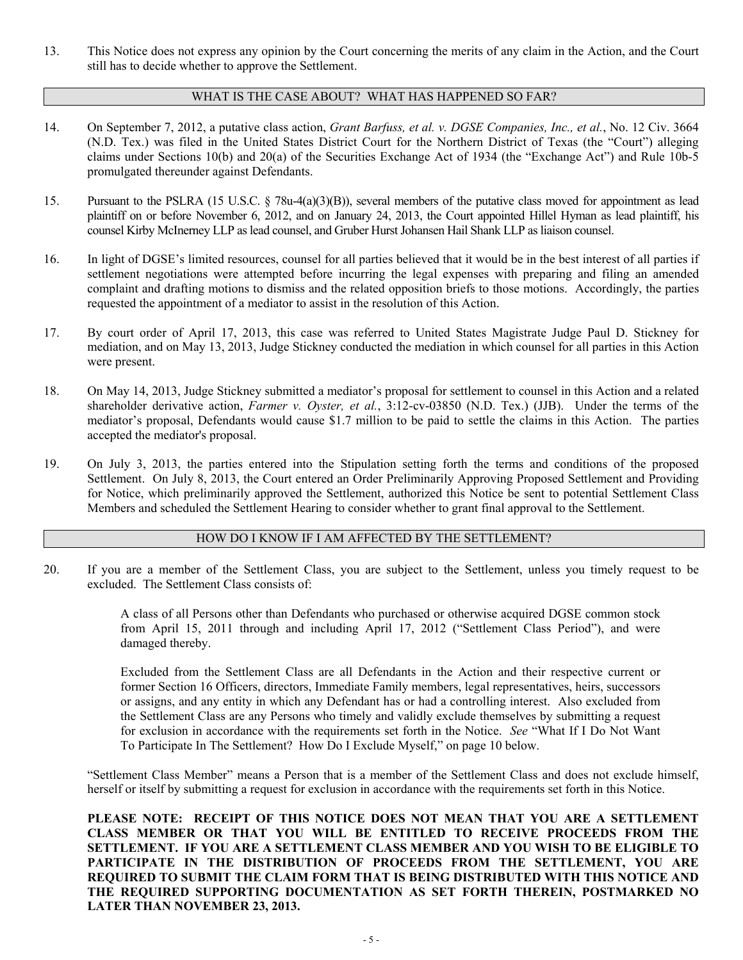13. This Notice does not express any opinion by the Court concerning the merits of any claim in the Action, and the Court still has to decide whether to approve the Settlement.

### WHAT IS THE CASE ABOUT? WHAT HAS HAPPENED SO FAR?

- 14. On September 7, 2012, a putative class action, *Grant Barfuss, et al. v. DGSE Companies, Inc., et al.*, No. 12 Civ. 3664 (N.D. Tex.) was filed in the United States District Court for the Northern District of Texas (the "Court") alleging claims under Sections 10(b) and 20(a) of the Securities Exchange Act of 1934 (the "Exchange Act") and Rule 10b-5 promulgated thereunder against Defendants.
- 15. Pursuant to the PSLRA (15 U.S.C. § 78u-4(a)(3)(B)), several members of the putative class moved for appointment as lead plaintiff on or before November 6, 2012, and on January 24, 2013, the Court appointed Hillel Hyman as lead plaintiff, his counsel Kirby McInerney LLP as lead counsel, and Gruber Hurst Johansen Hail Shank LLP as liaison counsel.
- 16. In light of DGSE's limited resources, counsel for all parties believed that it would be in the best interest of all parties if settlement negotiations were attempted before incurring the legal expenses with preparing and filing an amended complaint and drafting motions to dismiss and the related opposition briefs to those motions. Accordingly, the parties requested the appointment of a mediator to assist in the resolution of this Action.
- 17. By court order of April 17, 2013, this case was referred to United States Magistrate Judge Paul D. Stickney for mediation, and on May 13, 2013, Judge Stickney conducted the mediation in which counsel for all parties in this Action were present.
- 18. On May 14, 2013, Judge Stickney submitted a mediator's proposal for settlement to counsel in this Action and a related shareholder derivative action, *Farmer v. Oyster, et al.*, 3:12-cv-03850 (N.D. Tex.) (JJB). Under the terms of the mediator's proposal, Defendants would cause \$1.7 million to be paid to settle the claims in this Action. The parties accepted the mediator's proposal.
- 19. On July 3, 2013, the parties entered into the Stipulation setting forth the terms and conditions of the proposed Settlement. On July 8, 2013, the Court entered an Order Preliminarily Approving Proposed Settlement and Providing for Notice, which preliminarily approved the Settlement, authorized this Notice be sent to potential Settlement Class Members and scheduled the Settlement Hearing to consider whether to grant final approval to the Settlement.

### HOW DO I KNOW IF I AM AFFECTED BY THE SETTLEMENT?

20. If you are a member of the Settlement Class, you are subject to the Settlement, unless you timely request to be excluded. The Settlement Class consists of:

> A class of all Persons other than Defendants who purchased or otherwise acquired DGSE common stock from April 15, 2011 through and including April 17, 2012 ("Settlement Class Period"), and were damaged thereby.

> Excluded from the Settlement Class are all Defendants in the Action and their respective current or former Section 16 Officers, directors, Immediate Family members, legal representatives, heirs, successors or assigns, and any entity in which any Defendant has or had a controlling interest. Also excluded from the Settlement Class are any Persons who timely and validly exclude themselves by submitting a request for exclusion in accordance with the requirements set forth in the Notice. *See* "What If I Do Not Want To Participate In The Settlement? How Do I Exclude Myself," on page 10 below.

"Settlement Class Member" means a Person that is a member of the Settlement Class and does not exclude himself, herself or itself by submitting a request for exclusion in accordance with the requirements set forth in this Notice.

**PLEASE NOTE: RECEIPT OF THIS NOTICE DOES NOT MEAN THAT YOU ARE A SETTLEMENT CLASS MEMBER OR THAT YOU WILL BE ENTITLED TO RECEIVE PROCEEDS FROM THE SETTLEMENT. IF YOU ARE A SETTLEMENT CLASS MEMBER AND YOU WISH TO BE ELIGIBLE TO PARTICIPATE IN THE DISTRIBUTION OF PROCEEDS FROM THE SETTLEMENT, YOU ARE REQUIRED TO SUBMIT THE CLAIM FORM THAT IS BEING DISTRIBUTED WITH THIS NOTICE AND THE REQUIRED SUPPORTING DOCUMENTATION AS SET FORTH THEREIN, POSTMARKED NO LATER THAN NOVEMBER 23, 2013.**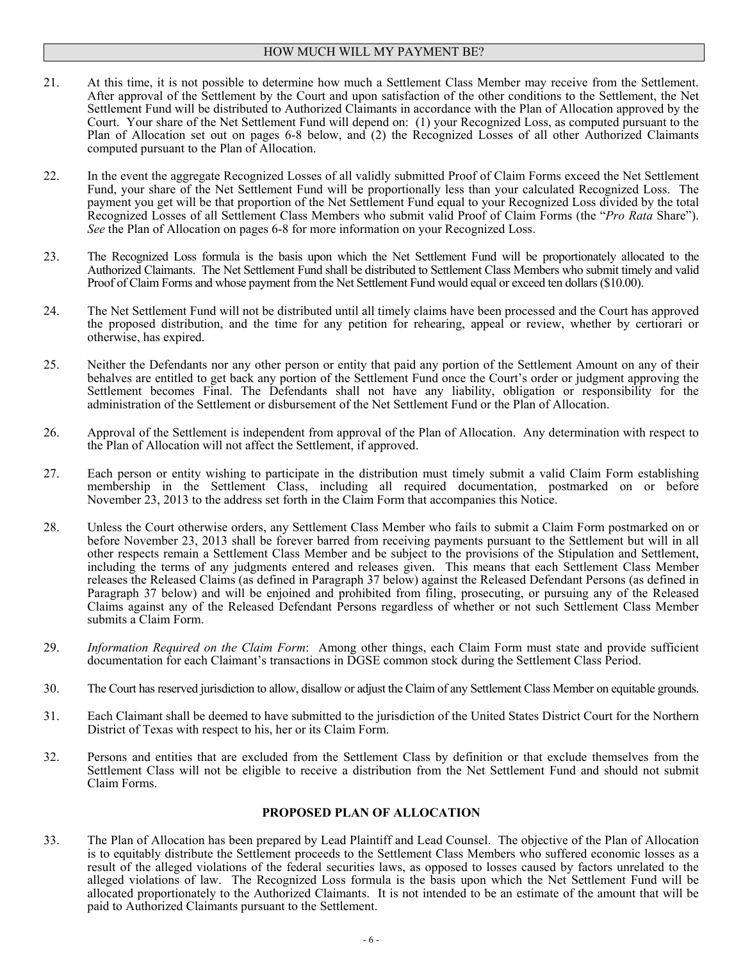### HOW MUCH WILL MY PAYMENT BE?

- 21. At this time, it is not possible to determine how much a Settlement Class Member may receive from the Settlement. After approval of the Settlement by the Court and upon satisfaction of the other conditions to the Settlement, the Net Settlement Fund will be distributed to Authorized Claimants in accordance with the Plan of Allocation approved by the Court. Your share of the Net Settlement Fund will depend on: (1) your Recognized Loss, as computed pursuant to the Plan of Allocation set out on pages 6-8 below, and (2) the Recognized Losses of all other Authorized Claimants computed pursuant to the Plan of Allocation.
- 22. In the event the aggregate Recognized Losses of all validly submitted Proof of Claim Forms exceed the Net Settlement Fund, your share of the Net Settlement Fund will be proportionally less than your calculated Recognized Loss. The payment you get will be that proportion of the Net Settlement Fund equal to your Recognized Loss divided by the total Recognized Losses of all Settlement Class Members who submit valid Proof of Claim Forms (the "*Pro Rata* Share"). *See* the Plan of Allocation on pages 6-8 for more information on your Recognized Loss.
- 23. The Recognized Loss formula is the basis upon which the Net Settlement Fund will be proportionately allocated to the Authorized Claimants. The Net Settlement Fund shall be distributed to Settlement Class Members who submit timely and valid Proof of Claim Forms and whose payment from the Net Settlement Fund would equal or exceed ten dollars (\$10.00).
- 24. The Net Settlement Fund will not be distributed until all timely claims have been processed and the Court has approved the proposed distribution, and the time for any petition for rehearing, appeal or review, whether by certiorari or otherwise, has expired.
- 25. Neither the Defendants nor any other person or entity that paid any portion of the Settlement Amount on any of their behalves are entitled to get back any portion of the Settlement Fund once the Court's order or judgment approving the Settlement becomes Final. The Defendants shall not have any liability, obligation or responsibility for the administration of the Settlement or disbursement of the Net Settlement Fund or the Plan of Allocation.
- 26. Approval of the Settlement is independent from approval of the Plan of Allocation. Any determination with respect to the Plan of Allocation will not affect the Settlement, if approved.
- 27. Each person or entity wishing to participate in the distribution must timely submit a valid Claim Form establishing membership in the Settlement Class, including all required documentation, postmarked on or before November 23, 2013 to the address set forth in the Claim Form that accompanies this Notice.
- 28. Unless the Court otherwise orders, any Settlement Class Member who fails to submit a Claim Form postmarked on or before November 23, 2013 shall be forever barred from receiving payments pursuant to the Settlement but will in all other respects remain a Settlement Class Member and be subject to the provisions of the Stipulation and Settlement, including the terms of any judgments entered and releases given. This means that each Settlement Class Member releases the Released Claims (as defined in Paragraph 37 below) against the Released Defendant Persons (as defined in Paragraph 37 below) and will be enjoined and prohibited from filing, prosecuting, or pursuing any of the Released Claims against any of the Released Defendant Persons regardless of whether or not such Settlement Class Member submits a Claim Form.
- 29. *Information Required on the Claim Form*: Among other things, each Claim Form must state and provide sufficient documentation for each Claimant's transactions in DGSE common stock during the Settlement Class Period.
- 30. The Court has reserved jurisdiction to allow, disallow or adjust the Claim of any Settlement Class Member on equitable grounds.
- 31. Each Claimant shall be deemed to have submitted to the jurisdiction of the United States District Court for the Northern District of Texas with respect to his, her or its Claim Form.
- 32. Persons and entities that are excluded from the Settlement Class by definition or that exclude themselves from the Settlement Class will not be eligible to receive a distribution from the Net Settlement Fund and should not submit Claim Forms.

#### **PROPOSED PLAN OF ALLOCATION**

33. The Plan of Allocation has been prepared by Lead Plaintiff and Lead Counsel. The objective of the Plan of Allocation is to equitably distribute the Settlement proceeds to the Settlement Class Members who suffered economic losses as a result of the alleged violations of the federal securities laws, as opposed to losses caused by factors unrelated to the alleged violations of law. The Recognized Loss formula is the basis upon which the Net Settlement Fund will be allocated proportionately to the Authorized Claimants. It is not intended to be an estimate of the amount that will be paid to Authorized Claimants pursuant to the Settlement.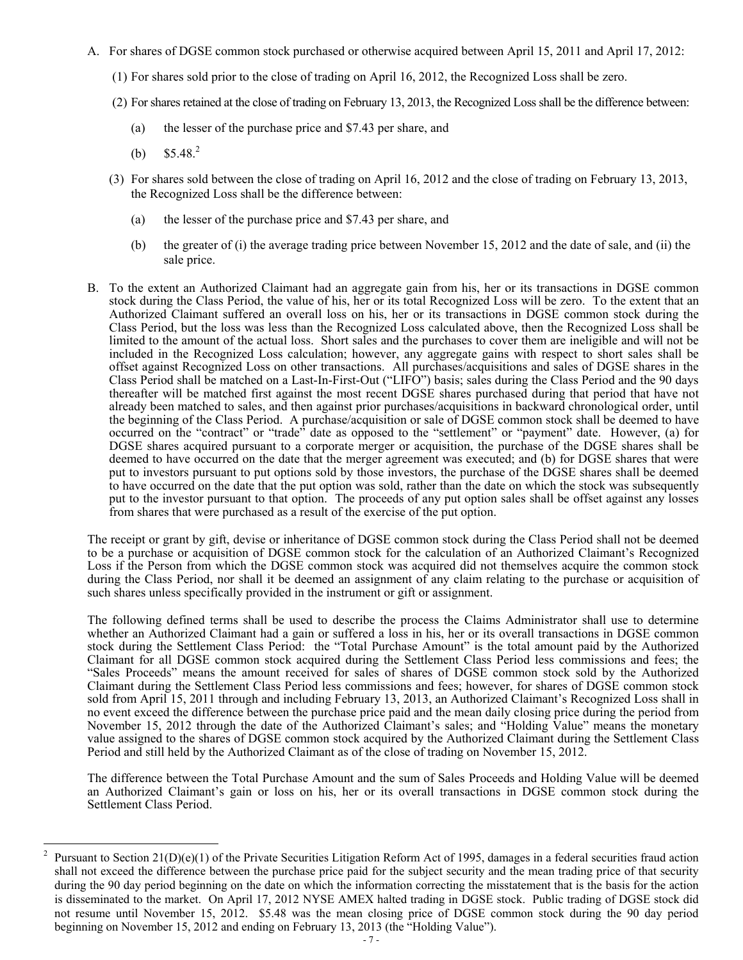- A. For shares of DGSE common stock purchased or otherwise acquired between April 15, 2011 and April 17, 2012:
	- (1) For shares sold prior to the close of trading on April 16, 2012, the Recognized Loss shall be zero.
	- (2) For shares retained at the close of trading on February 13, 2013, the Recognized Loss shall be the difference between:
		- (a) the lesser of the purchase price and \$7.43 per share, and
		- (b)  $$5.48<sup>2</sup>$

 $\overline{a}$ 

- (3) For shares sold between the close of trading on April 16, 2012 and the close of trading on February 13, 2013, the Recognized Loss shall be the difference between:
	- (a) the lesser of the purchase price and \$7.43 per share, and
	- (b) the greater of (i) the average trading price between November 15, 2012 and the date of sale, and (ii) the sale price.
- B. To the extent an Authorized Claimant had an aggregate gain from his, her or its transactions in DGSE common stock during the Class Period, the value of his, her or its total Recognized Loss will be zero. To the extent that an Authorized Claimant suffered an overall loss on his, her or its transactions in DGSE common stock during the Class Period, but the loss was less than the Recognized Loss calculated above, then the Recognized Loss shall be limited to the amount of the actual loss. Short sales and the purchases to cover them are ineligible and will not be included in the Recognized Loss calculation; however, any aggregate gains with respect to short sales shall be offset against Recognized Loss on other transactions. All purchases/acquisitions and sales of DGSE shares in the Class Period shall be matched on a Last-In-First-Out ("LIFO") basis; sales during the Class Period and the 90 days thereafter will be matched first against the most recent DGSE shares purchased during that period that have not already been matched to sales, and then against prior purchases/acquisitions in backward chronological order, until the beginning of the Class Period. A purchase/acquisition or sale of DGSE common stock shall be deemed to have occurred on the "contract" or "trade" date as opposed to the "settlement" or "payment" date. However, (a) for DGSE shares acquired pursuant to a corporate merger or acquisition, the purchase of the DGSE shares shall be deemed to have occurred on the date that the merger agreement was executed; and (b) for DGSE shares that were put to investors pursuant to put options sold by those investors, the purchase of the DGSE shares shall be deemed to have occurred on the date that the put option was sold, rather than the date on which the stock was subsequently put to the investor pursuant to that option. The proceeds of any put option sales shall be offset against any losses from shares that were purchased as a result of the exercise of the put option.

The receipt or grant by gift, devise or inheritance of DGSE common stock during the Class Period shall not be deemed to be a purchase or acquisition of DGSE common stock for the calculation of an Authorized Claimant's Recognized Loss if the Person from which the DGSE common stock was acquired did not themselves acquire the common stock during the Class Period, nor shall it be deemed an assignment of any claim relating to the purchase or acquisition of such shares unless specifically provided in the instrument or gift or assignment.

The following defined terms shall be used to describe the process the Claims Administrator shall use to determine whether an Authorized Claimant had a gain or suffered a loss in his, her or its overall transactions in DGSE common stock during the Settlement Class Period: the "Total Purchase Amount" is the total amount paid by the Authorized Claimant for all DGSE common stock acquired during the Settlement Class Period less commissions and fees; the "Sales Proceeds" means the amount received for sales of shares of DGSE common stock sold by the Authorized Claimant during the Settlement Class Period less commissions and fees; however, for shares of DGSE common stock sold from April 15, 2011 through and including February 13, 2013, an Authorized Claimant's Recognized Loss shall in no event exceed the difference between the purchase price paid and the mean daily closing price during the period from November 15, 2012 through the date of the Authorized Claimant's sales; and "Holding Value" means the monetary value assigned to the shares of DGSE common stock acquired by the Authorized Claimant during the Settlement Class Period and still held by the Authorized Claimant as of the close of trading on November 15, 2012.

The difference between the Total Purchase Amount and the sum of Sales Proceeds and Holding Value will be deemed an Authorized Claimant's gain or loss on his, her or its overall transactions in DGSE common stock during the Settlement Class Period.

<sup>2</sup> Pursuant to Section  $21(D)(e)(1)$  of the Private Securities Litigation Reform Act of 1995, damages in a federal securities fraud action shall not exceed the difference between the purchase price paid for the subject security and the mean trading price of that security during the 90 day period beginning on the date on which the information correcting the misstatement that is the basis for the action is disseminated to the market. On April 17, 2012 NYSE AMEX halted trading in DGSE stock. Public trading of DGSE stock did not resume until November 15, 2012. \$5.48 was the mean closing price of DGSE common stock during the 90 day period beginning on November 15, 2012 and ending on February 13, 2013 (the "Holding Value").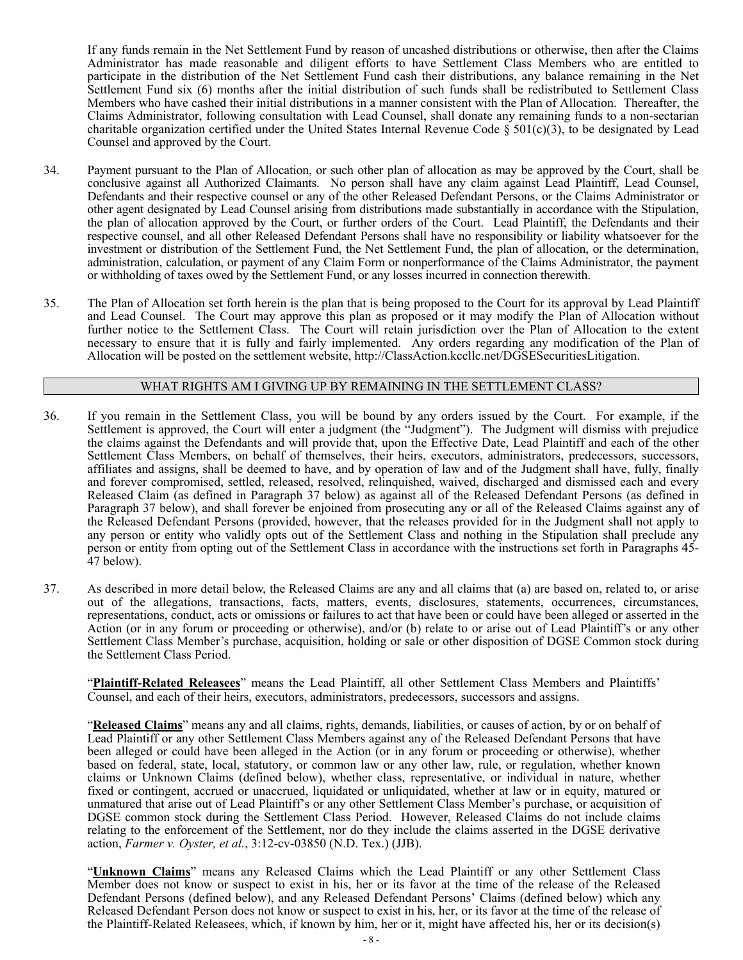If any funds remain in the Net Settlement Fund by reason of uncashed distributions or otherwise, then after the Claims Administrator has made reasonable and diligent efforts to have Settlement Class Members who are entitled to participate in the distribution of the Net Settlement Fund cash their distributions, any balance remaining in the Net Settlement Fund six (6) months after the initial distribution of such funds shall be redistributed to Settlement Class Members who have cashed their initial distributions in a manner consistent with the Plan of Allocation. Thereafter, the Claims Administrator, following consultation with Lead Counsel, shall donate any remaining funds to a non-sectarian charitable organization certified under the United States Internal Revenue Code  $\S 501(c)(3)$ , to be designated by Lead Counsel and approved by the Court.

- 34. Payment pursuant to the Plan of Allocation, or such other plan of allocation as may be approved by the Court, shall be conclusive against all Authorized Claimants. No person shall have any claim against Lead Plaintiff, Lead Counsel, Defendants and their respective counsel or any of the other Released Defendant Persons, or the Claims Administrator or other agent designated by Lead Counsel arising from distributions made substantially in accordance with the Stipulation, the plan of allocation approved by the Court, or further orders of the Court. Lead Plaintiff, the Defendants and their respective counsel, and all other Released Defendant Persons shall have no responsibility or liability whatsoever for the investment or distribution of the Settlement Fund, the Net Settlement Fund, the plan of allocation, or the determination, administration, calculation, or payment of any Claim Form or nonperformance of the Claims Administrator, the payment or withholding of taxes owed by the Settlement Fund, or any losses incurred in connection therewith.
- 35. The Plan of Allocation set forth herein is the plan that is being proposed to the Court for its approval by Lead Plaintiff and Lead Counsel. The Court may approve this plan as proposed or it may modify the Plan of Allocation without further notice to the Settlement Class. The Court will retain jurisdiction over the Plan of Allocation to the extent necessary to ensure that it is fully and fairly implemented. Any orders regarding any modification of the Plan of Allocation will be posted on the settlement website, http://ClassAction.kccllc.net/DGSESecuritiesLitigation.

#### WHAT RIGHTS AM I GIVING UP BY REMAINING IN THE SETTLEMENT CLASS?

- 36. If you remain in the Settlement Class, you will be bound by any orders issued by the Court. For example, if the Settlement is approved, the Court will enter a judgment (the "Judgment"). The Judgment will dismiss with prejudice the claims against the Defendants and will provide that, upon the Effective Date, Lead Plaintiff and each of the other Settlement Class Members, on behalf of themselves, their heirs, executors, administrators, predecessors, successors, affiliates and assigns, shall be deemed to have, and by operation of law and of the Judgment shall have, fully, finally and forever compromised, settled, released, resolved, relinquished, waived, discharged and dismissed each and every Released Claim (as defined in Paragraph 37 below) as against all of the Released Defendant Persons (as defined in Paragraph 37 below), and shall forever be enjoined from prosecuting any or all of the Released Claims against any of the Released Defendant Persons (provided, however, that the releases provided for in the Judgment shall not apply to any person or entity who validly opts out of the Settlement Class and nothing in the Stipulation shall preclude any person or entity from opting out of the Settlement Class in accordance with the instructions set forth in Paragraphs 45- 47 below).
- 37. As described in more detail below, the Released Claims are any and all claims that (a) are based on, related to, or arise out of the allegations, transactions, facts, matters, events, disclosures, statements, occurrences, circumstances, representations, conduct, acts or omissions or failures to act that have been or could have been alleged or asserted in the Action (or in any forum or proceeding or otherwise), and/or (b) relate to or arise out of Lead Plaintiff's or any other Settlement Class Member's purchase, acquisition, holding or sale or other disposition of DGSE Common stock during the Settlement Class Period.

"**Plaintiff-Related Releasees**" means the Lead Plaintiff, all other Settlement Class Members and Plaintiffs' Counsel, and each of their heirs, executors, administrators, predecessors, successors and assigns.

"**Released Claims**" means any and all claims, rights, demands, liabilities, or causes of action, by or on behalf of Lead Plaintiff or any other Settlement Class Members against any of the Released Defendant Persons that have been alleged or could have been alleged in the Action (or in any forum or proceeding or otherwise), whether based on federal, state, local, statutory, or common law or any other law, rule, or regulation, whether known claims or Unknown Claims (defined below), whether class, representative, or individual in nature, whether fixed or contingent, accrued or unaccrued, liquidated or unliquidated, whether at law or in equity, matured or unmatured that arise out of Lead Plaintiff's or any other Settlement Class Member's purchase, or acquisition of DGSE common stock during the Settlement Class Period. However, Released Claims do not include claims relating to the enforcement of the Settlement, nor do they include the claims asserted in the DGSE derivative action, *Farmer v. Oyster, et al.*, 3:12-cv-03850 (N.D. Tex.) (JJB).

"**Unknown Claims**" means any Released Claims which the Lead Plaintiff or any other Settlement Class Member does not know or suspect to exist in his, her or its favor at the time of the release of the Released Defendant Persons (defined below), and any Released Defendant Persons' Claims (defined below) which any Released Defendant Person does not know or suspect to exist in his, her, or its favor at the time of the release of the Plaintiff-Related Releasees, which, if known by him, her or it, might have affected his, her or its decision(s)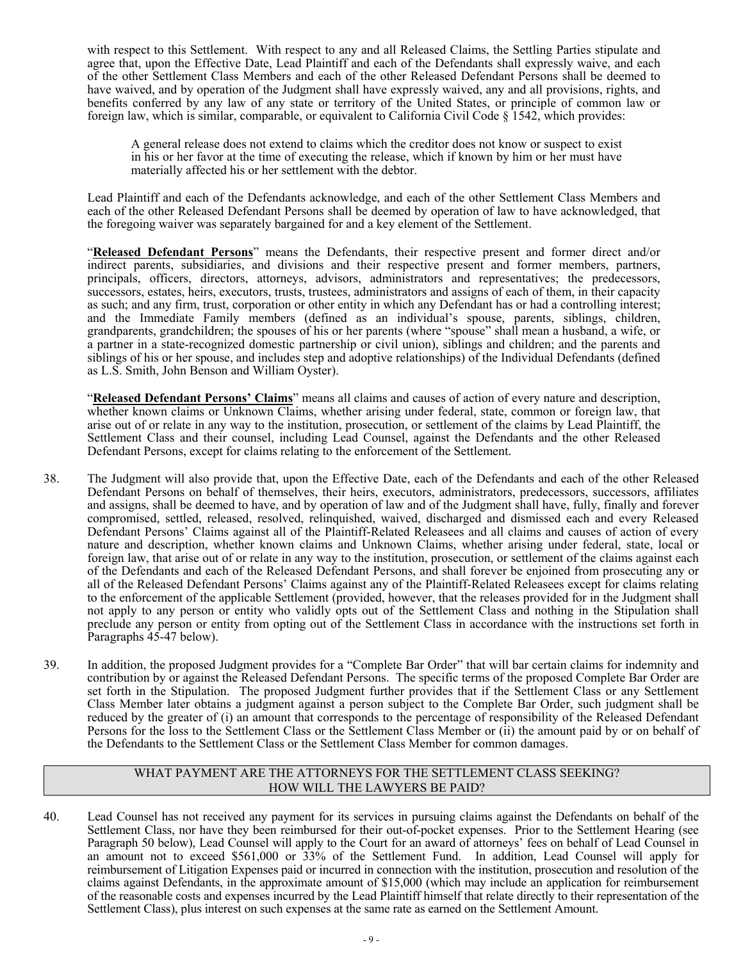with respect to this Settlement. With respect to any and all Released Claims, the Settling Parties stipulate and agree that, upon the Effective Date, Lead Plaintiff and each of the Defendants shall expressly waive, and each of the other Settlement Class Members and each of the other Released Defendant Persons shall be deemed to have waived, and by operation of the Judgment shall have expressly waived, any and all provisions, rights, and benefits conferred by any law of any state or territory of the United States, or principle of common law or foreign law, which is similar, comparable, or equivalent to California Civil Code  $\S$  1542, which provides:

A general release does not extend to claims which the creditor does not know or suspect to exist in his or her favor at the time of executing the release, which if known by him or her must have materially affected his or her settlement with the debtor.

Lead Plaintiff and each of the Defendants acknowledge, and each of the other Settlement Class Members and each of the other Released Defendant Persons shall be deemed by operation of law to have acknowledged, that the foregoing waiver was separately bargained for and a key element of the Settlement.

"**Released Defendant Persons**" means the Defendants, their respective present and former direct and/or indirect parents, subsidiaries, and divisions and their respective present and former members, partners, principals, officers, directors, attorneys, advisors, administrators and representatives; the predecessors, successors, estates, heirs, executors, trusts, trustees, administrators and assigns of each of them, in their capacity as such; and any firm, trust, corporation or other entity in which any Defendant has or had a controlling interest; and the Immediate Family members (defined as an individual's spouse, parents, siblings, children, grandparents, grandchildren; the spouses of his or her parents (where "spouse" shall mean a husband, a wife, or a partner in a state-recognized domestic partnership or civil union), siblings and children; and the parents and siblings of his or her spouse, and includes step and adoptive relationships) of the Individual Defendants (defined as L.S. Smith, John Benson and William Oyster).

"**Released Defendant Persons' Claims**" means all claims and causes of action of every nature and description, whether known claims or Unknown Claims, whether arising under federal, state, common or foreign law, that arise out of or relate in any way to the institution, prosecution, or settlement of the claims by Lead Plaintiff, the Settlement Class and their counsel, including Lead Counsel, against the Defendants and the other Released Defendant Persons, except for claims relating to the enforcement of the Settlement.

- 38. The Judgment will also provide that, upon the Effective Date, each of the Defendants and each of the other Released Defendant Persons on behalf of themselves, their heirs, executors, administrators, predecessors, successors, affiliates and assigns, shall be deemed to have, and by operation of law and of the Judgment shall have, fully, finally and forever compromised, settled, released, resolved, relinquished, waived, discharged and dismissed each and every Released Defendant Persons' Claims against all of the Plaintiff-Related Releasees and all claims and causes of action of every nature and description, whether known claims and Unknown Claims, whether arising under federal, state, local or foreign law, that arise out of or relate in any way to the institution, prosecution, or settlement of the claims against each of the Defendants and each of the Released Defendant Persons, and shall forever be enjoined from prosecuting any or all of the Released Defendant Persons' Claims against any of the Plaintiff-Related Releasees except for claims relating to the enforcement of the applicable Settlement (provided, however, that the releases provided for in the Judgment shall not apply to any person or entity who validly opts out of the Settlement Class and nothing in the Stipulation shall preclude any person or entity from opting out of the Settlement Class in accordance with the instructions set forth in Paragraphs 45-47 below).
- 39. In addition, the proposed Judgment provides for a "Complete Bar Order" that will bar certain claims for indemnity and contribution by or against the Released Defendant Persons. The specific terms of the proposed Complete Bar Order are set forth in the Stipulation. The proposed Judgment further provides that if the Settlement Class or any Settlement Class Member later obtains a judgment against a person subject to the Complete Bar Order, such judgment shall be reduced by the greater of (i) an amount that corresponds to the percentage of responsibility of the Released Defendant Persons for the loss to the Settlement Class or the Settlement Class Member or (ii) the amount paid by or on behalf of the Defendants to the Settlement Class or the Settlement Class Member for common damages.

### WHAT PAYMENT ARE THE ATTORNEYS FOR THE SETTLEMENT CLASS SEEKING? HOW WILL THE LAWYERS BE PAID?

40. Lead Counsel has not received any payment for its services in pursuing claims against the Defendants on behalf of the Settlement Class, nor have they been reimbursed for their out-of-pocket expenses. Prior to the Settlement Hearing (see Paragraph 50 below), Lead Counsel will apply to the Court for an award of attorneys' fees on behalf of Lead Counsel in an amount not to exceed \$561,000 or 33% of the Settlement Fund. In addition, Lead Counsel will apply for reimbursement of Litigation Expenses paid or incurred in connection with the institution, prosecution and resolution of the claims against Defendants, in the approximate amount of \$15,000 (which may include an application for reimbursement of the reasonable costs and expenses incurred by the Lead Plaintiff himself that relate directly to their representation of the Settlement Class), plus interest on such expenses at the same rate as earned on the Settlement Amount.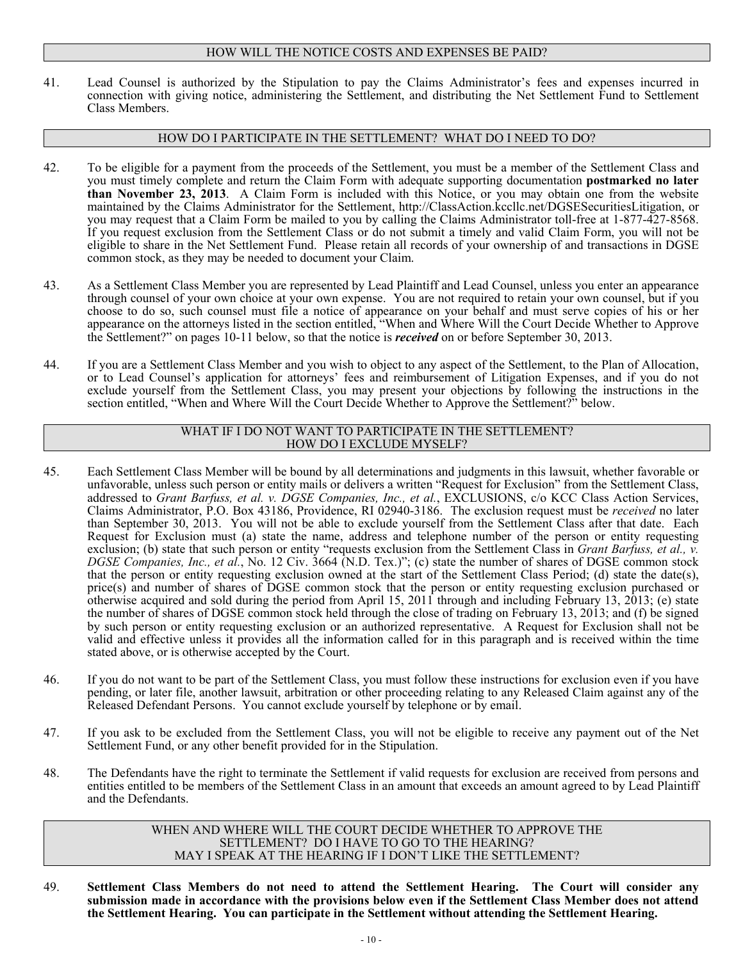### HOW WILL THE NOTICE COSTS AND EXPENSES BE PAID?

41. Lead Counsel is authorized by the Stipulation to pay the Claims Administrator's fees and expenses incurred in connection with giving notice, administering the Settlement, and distributing the Net Settlement Fund to Settlement Class Members.

### HOW DO I PARTICIPATE IN THE SETTLEMENT? WHAT DO I NEED TO DO?

- 42. To be eligible for a payment from the proceeds of the Settlement, you must be a member of the Settlement Class and you must timely complete and return the Claim Form with adequate supporting documentation **postmarked no later than November 23, 2013**. A Claim Form is included with this Notice, or you may obtain one from the website maintained by the Claims Administrator for the Settlement, http://ClassAction.kccllc.net/DGSESecuritiesLitigation, or you may request that a Claim Form be mailed to you by calling the Claims Administrator toll-free at 1-877-427-8568. If you request exclusion from the Settlement Class or do not submit a timely and valid Claim Form, you will not be eligible to share in the Net Settlement Fund. Please retain all records of your ownership of and transactions in DGSE common stock, as they may be needed to document your Claim.
- 43. As a Settlement Class Member you are represented by Lead Plaintiff and Lead Counsel, unless you enter an appearance through counsel of your own choice at your own expense. You are not required to retain your own counsel, but if you choose to do so, such counsel must file a notice of appearance on your behalf and must serve copies of his or her appearance on the attorneys listed in the section entitled, "When and Where Will the Court Decide Whether to Approve the Settlement?" on pages 10-11 below, so that the notice is *received* on or before September 30, 2013.
- 44. If you are a Settlement Class Member and you wish to object to any aspect of the Settlement, to the Plan of Allocation, or to Lead Counsel's application for attorneys' fees and reimbursement of Litigation Expenses, and if you do not exclude yourself from the Settlement Class, you may present your objections by following the instructions in the section entitled, "When and Where Will the Court Decide Whether to Approve the Settlement?" below.

#### WHAT IF I DO NOT WANT TO PARTICIPATE IN THE SETTLEMENT? HOW DO I EXCLUDE MYSELF?

- 45. Each Settlement Class Member will be bound by all determinations and judgments in this lawsuit, whether favorable or unfavorable, unless such person or entity mails or delivers a written "Request for Exclusion" from the Settlement Class, addressed to *Grant Barfuss, et al. v. DGSE Companies, Inc., et al.*, EXCLUSIONS, c/o KCC Class Action Services, Claims Administrator, P.O. Box 43186, Providence, RI 02940-3186. The exclusion request must be *received* no later than September 30, 2013. You will not be able to exclude yourself from the Settlement Class after that date. Each Request for Exclusion must (a) state the name, address and telephone number of the person or entity requesting exclusion; (b) state that such person or entity "requests exclusion from the Settlement Class in *Grant Barfuss, et al., v. DGSE Companies, Inc., et al.*, No. 12 Civ. 3664 (N.D. Tex.)"; (c) state the number of shares of DGSE common stock that the person or entity requesting exclusion owned at the start of the Settlement Class Period; (d) state the date(s), price(s) and number of shares of DGSE common stock that the person or entity requesting exclusion purchased or otherwise acquired and sold during the period from April 15, 2011 through and including February 13, 2013; (e) state the number of shares of DGSE common stock held through the close of trading on February 13, 2013; and (f) be signed by such person or entity requesting exclusion or an authorized representative. A Request for Exclusion shall not be valid and effective unless it provides all the information called for in this paragraph and is received within the time stated above, or is otherwise accepted by the Court.
- 46. If you do not want to be part of the Settlement Class, you must follow these instructions for exclusion even if you have pending, or later file, another lawsuit, arbitration or other proceeding relating to any Released Claim against any of the Released Defendant Persons. You cannot exclude yourself by telephone or by email.
- 47. If you ask to be excluded from the Settlement Class, you will not be eligible to receive any payment out of the Net Settlement Fund, or any other benefit provided for in the Stipulation.
- 48. The Defendants have the right to terminate the Settlement if valid requests for exclusion are received from persons and entities entitled to be members of the Settlement Class in an amount that exceeds an amount agreed to by Lead Plaintiff and the Defendants.

WHEN AND WHERE WILL THE COURT DECIDE WHETHER TO APPROVE THE SETTLEMENT? DO I HAVE TO GO TO THE HEARING? MAY I SPEAK AT THE HEARING IF I DON'T LIKE THE SETTLEMENT?

49. **Settlement Class Members do not need to attend the Settlement Hearing. The Court will consider any submission made in accordance with the provisions below even if the Settlement Class Member does not attend the Settlement Hearing. You can participate in the Settlement without attending the Settlement Hearing.**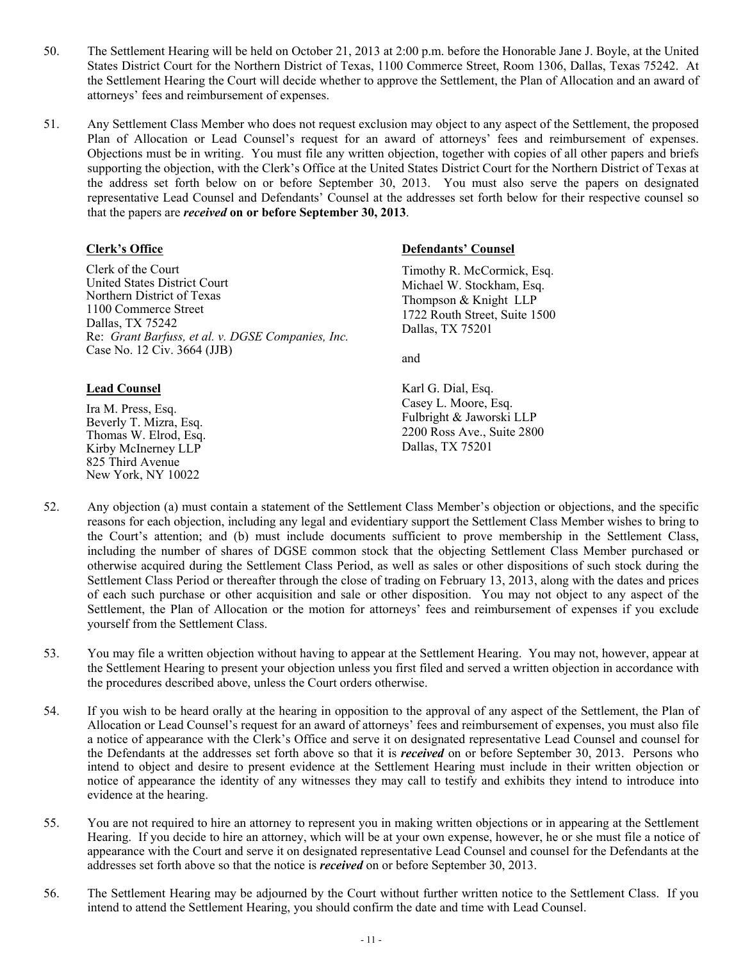- 50. The Settlement Hearing will be held on October 21, 2013 at 2:00 p.m. before the Honorable Jane J. Boyle, at the United States District Court for the Northern District of Texas, 1100 Commerce Street, Room 1306, Dallas, Texas 75242. At the Settlement Hearing the Court will decide whether to approve the Settlement, the Plan of Allocation and an award of attorneys' fees and reimbursement of expenses.
- 51. Any Settlement Class Member who does not request exclusion may object to any aspect of the Settlement, the proposed Plan of Allocation or Lead Counsel's request for an award of attorneys' fees and reimbursement of expenses. Objections must be in writing. You must file any written objection, together with copies of all other papers and briefs supporting the objection, with the Clerk's Office at the United States District Court for the Northern District of Texas at the address set forth below on or before September 30, 2013. You must also serve the papers on designated representative Lead Counsel and Defendants' Counsel at the addresses set forth below for their respective counsel so that the papers are *received* **on or before September 30, 2013**.

# **Clerk's Office**

Clerk of the Court United States District Court Northern District of Texas 1100 Commerce Street Dallas, TX 75242 Re: *Grant Barfuss, et al. v. DGSE Companies, Inc.* Case No. 12 Civ. 3664 (JJB)

# **Defendants' Counsel**

Timothy R. McCormick, Esq. Michael W. Stockham, Esq. Thompson & Knight LLP 1722 Routh Street, Suite 1500 Dallas, TX 75201

and

### **Lead Counsel**

Ira M. Press, Esq. Beverly T. Mizra, Esq. Thomas W. Elrod, Esq. Kirby McInerney LLP 825 Third Avenue New York, NY 10022

Karl G. Dial, Esq. Casey L. Moore, Esq. Fulbright & Jaworski LLP 2200 Ross Ave., Suite 2800 Dallas, TX 75201

- 52. Any objection (a) must contain a statement of the Settlement Class Member's objection or objections, and the specific reasons for each objection, including any legal and evidentiary support the Settlement Class Member wishes to bring to the Court's attention; and (b) must include documents sufficient to prove membership in the Settlement Class, including the number of shares of DGSE common stock that the objecting Settlement Class Member purchased or otherwise acquired during the Settlement Class Period, as well as sales or other dispositions of such stock during the Settlement Class Period or thereafter through the close of trading on February 13, 2013, along with the dates and prices of each such purchase or other acquisition and sale or other disposition. You may not object to any aspect of the Settlement, the Plan of Allocation or the motion for attorneys' fees and reimbursement of expenses if you exclude yourself from the Settlement Class.
- 53. You may file a written objection without having to appear at the Settlement Hearing. You may not, however, appear at the Settlement Hearing to present your objection unless you first filed and served a written objection in accordance with the procedures described above, unless the Court orders otherwise.
- 54. If you wish to be heard orally at the hearing in opposition to the approval of any aspect of the Settlement, the Plan of Allocation or Lead Counsel's request for an award of attorneys' fees and reimbursement of expenses, you must also file a notice of appearance with the Clerk's Office and serve it on designated representative Lead Counsel and counsel for the Defendants at the addresses set forth above so that it is *received* on or before September 30, 2013. Persons who intend to object and desire to present evidence at the Settlement Hearing must include in their written objection or notice of appearance the identity of any witnesses they may call to testify and exhibits they intend to introduce into evidence at the hearing.
- 55. You are not required to hire an attorney to represent you in making written objections or in appearing at the Settlement Hearing. If you decide to hire an attorney, which will be at your own expense, however, he or she must file a notice of appearance with the Court and serve it on designated representative Lead Counsel and counsel for the Defendants at the addresses set forth above so that the notice is *received* on or before September 30, 2013.
- 56. The Settlement Hearing may be adjourned by the Court without further written notice to the Settlement Class. If you intend to attend the Settlement Hearing, you should confirm the date and time with Lead Counsel.